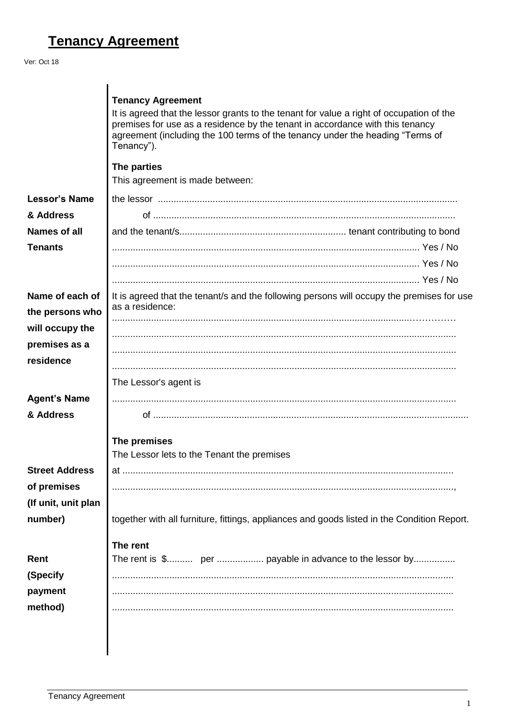## **Tenancy Agreement**

## Ver: Oct 18

|                                    | <b>Tenancy Agreement</b><br>It is agreed that the lessor grants to the tenant for value a right of occupation of the<br>premises for use as a residence by the tenant in accordance with this tenancy<br>agreement (including the 100 terms of the tenancy under the heading "Terms of<br>Tenancy").<br>The parties<br>This agreement is made between: |
|------------------------------------|--------------------------------------------------------------------------------------------------------------------------------------------------------------------------------------------------------------------------------------------------------------------------------------------------------------------------------------------------------|
| <b>Lessor's Name</b>               |                                                                                                                                                                                                                                                                                                                                                        |
| & Address                          |                                                                                                                                                                                                                                                                                                                                                        |
| <b>Names of all</b>                |                                                                                                                                                                                                                                                                                                                                                        |
| <b>Tenants</b>                     |                                                                                                                                                                                                                                                                                                                                                        |
|                                    |                                                                                                                                                                                                                                                                                                                                                        |
|                                    |                                                                                                                                                                                                                                                                                                                                                        |
| Name of each of<br>the persons who | It is agreed that the tenant/s and the following persons will occupy the premises for use<br>as a residence:                                                                                                                                                                                                                                           |
| will occupy the<br>premises as a   |                                                                                                                                                                                                                                                                                                                                                        |
| residence                          |                                                                                                                                                                                                                                                                                                                                                        |
|                                    | The Lessor's agent is                                                                                                                                                                                                                                                                                                                                  |
| <b>Agent's Name</b>                |                                                                                                                                                                                                                                                                                                                                                        |
| & Address                          |                                                                                                                                                                                                                                                                                                                                                        |
|                                    | The premises<br>The Lessor lets to the Tenant the premises                                                                                                                                                                                                                                                                                             |
| <b>Street Address</b>              |                                                                                                                                                                                                                                                                                                                                                        |
| of premises                        |                                                                                                                                                                                                                                                                                                                                                        |
| (If unit, unit plan                |                                                                                                                                                                                                                                                                                                                                                        |
| number)                            | together with all furniture, fittings, appliances and goods listed in the Condition Report.                                                                                                                                                                                                                                                            |
| Rent                               | The rent                                                                                                                                                                                                                                                                                                                                               |
| (Specify                           |                                                                                                                                                                                                                                                                                                                                                        |
| payment                            |                                                                                                                                                                                                                                                                                                                                                        |
| method)                            |                                                                                                                                                                                                                                                                                                                                                        |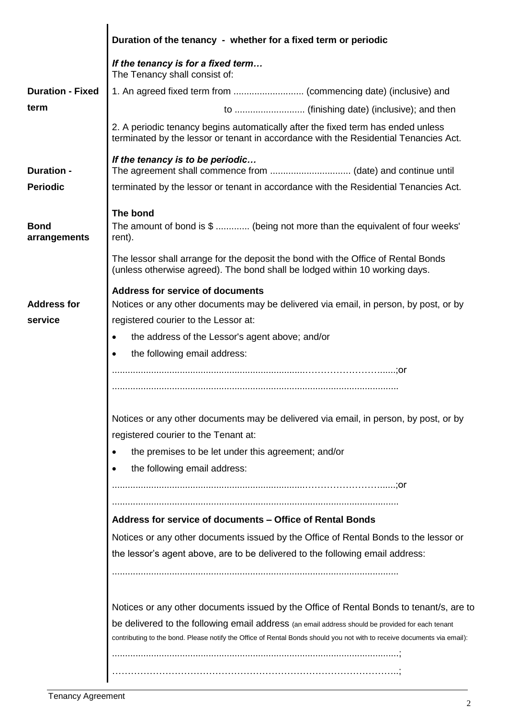|                             | Duration of the tenancy - whether for a fixed term or periodic                                                                                                           |
|-----------------------------|--------------------------------------------------------------------------------------------------------------------------------------------------------------------------|
|                             | If the tenancy is for a fixed term<br>The Tenancy shall consist of:                                                                                                      |
| <b>Duration - Fixed</b>     |                                                                                                                                                                          |
| term                        |                                                                                                                                                                          |
|                             | 2. A periodic tenancy begins automatically after the fixed term has ended unless<br>terminated by the lessor or tenant in accordance with the Residential Tenancies Act. |
| <b>Duration -</b>           | If the tenancy is to be periodic                                                                                                                                         |
| <b>Periodic</b>             | terminated by the lessor or tenant in accordance with the Residential Tenancies Act.                                                                                     |
|                             | The bond                                                                                                                                                                 |
| <b>Bond</b><br>arrangements | The amount of bond is \$  (being not more than the equivalent of four weeks'<br>rent).                                                                                   |
|                             | The lessor shall arrange for the deposit the bond with the Office of Rental Bonds<br>(unless otherwise agreed). The bond shall be lodged within 10 working days.         |
|                             | <b>Address for service of documents</b>                                                                                                                                  |
| <b>Address for</b>          | Notices or any other documents may be delivered via email, in person, by post, or by                                                                                     |
| service                     | registered courier to the Lessor at:                                                                                                                                     |
|                             | the address of the Lessor's agent above; and/or                                                                                                                          |
|                             | the following email address:<br>$\bullet$                                                                                                                                |
|                             |                                                                                                                                                                          |
|                             |                                                                                                                                                                          |
|                             | Notices or any other documents may be delivered via email, in person, by post, or by                                                                                     |
|                             | registered courier to the Tenant at:                                                                                                                                     |
|                             | the premises to be let under this agreement; and/or                                                                                                                      |
|                             | the following email address:<br>$\bullet$                                                                                                                                |
|                             |                                                                                                                                                                          |
|                             | Address for service of documents - Office of Rental Bonds                                                                                                                |
|                             | Notices or any other documents issued by the Office of Rental Bonds to the lessor or                                                                                     |
|                             | the lessor's agent above, are to be delivered to the following email address:                                                                                            |
|                             |                                                                                                                                                                          |
|                             | Notices or any other documents issued by the Office of Rental Bonds to tenant/s, are to                                                                                  |
|                             | be delivered to the following email address (an email address should be provided for each tenant                                                                         |
|                             | contributing to the bond. Please notify the Office of Rental Bonds should you not with to receive documents via email):                                                  |
|                             |                                                                                                                                                                          |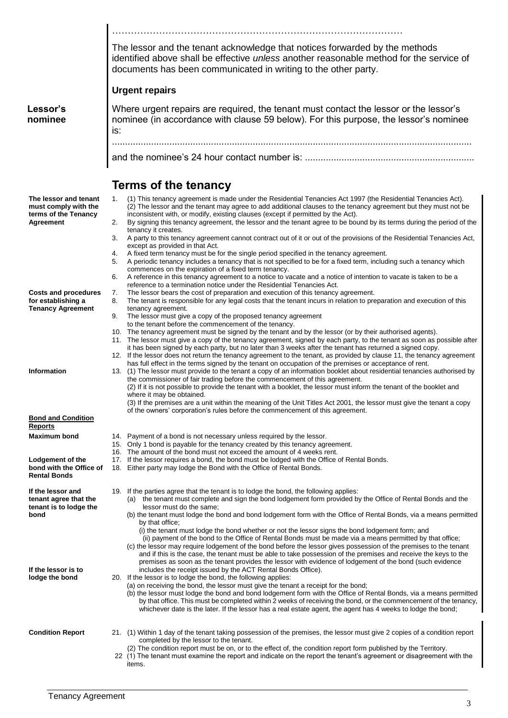………………………………………………………………………………… The lessor and the tenant acknowledge that notices forwarded by the methods identified above shall be effective *unless* another reasonable method for the service of documents has been communicated in writing to the other party. **Urgent repairs Lessor's nominee** Where urgent repairs are required, the tenant must contact the lessor or the lessor's nominee (in accordance with clause 59 below). For this purpose, the lessor's nominee is: .......................................................................................................................................... and the nominee's 24 hour contact number is: ................................................................. **Terms of the tenancy The lessor and tenant must comply with the terms of the Tenancy Agreement** 1. (1) This tenancy agreement is made under the Residential Tenancies Act 1997 (the Residential Tenancies Act). (2) The lessor and the tenant may agree to add additional clauses to the tenancy agreement but they must not be inconsistent with, or modify, existing clauses (except if permitted by the Act). 2. By signing this tenancy agreement, the lessor and the tenant agree to be bound by its terms during the period of the tenancy it creates. 3. A party to this tenancy agreement cannot contract out of it or out of the provisions of the Residential Tenancies Act, except as provided in that Act. 4. A fixed term tenancy must be for the single period specified in the tenancy agreement. 5. A periodic tenancy includes a tenancy that is not specified to be for a fixed term, including such a tenancy which commences on the expiration of a fixed term tenancy. 6. A reference in this tenancy agreement to a notice to vacate and a notice of intention to vacate is taken to be a reference to a termination notice under the Residential Tenancies Act. **Costs and procedures for establishing a Tenancy Agreement** 7. The lessor bears the cost of preparation and execution of this tenancy agreement. 8. The tenant is responsible for any legal costs that the tenant incurs in relation to preparation and execution of this tenancy agreement. 9. The lessor must give a copy of the proposed tenancy agreement to the tenant before the commencement of the tenancy. 10. The tenancy agreement must be signed by the tenant and by the lessor (or by their authorised agents). 11. The lessor must give a copy of the tenancy agreement, signed by each party, to the tenant as soon as possible after it has been signed by each party, but no later than 3 weeks after the tenant has returned a signed copy. 12. If the lessor does not return the tenancy agreement to the tenant, as provided by clause 11, the tenancy agreement has full effect in the terms signed by the tenant on occupation of the premises or acceptance of rent. **Information** 13. (1) The lessor must provide to the tenant a copy of an information booklet about residential tenancies authorised by the commissioner of fair trading before the commencement of this agreement. (2) If it is not possible to provide the tenant with a booklet, the lessor must inform the tenant of the booklet and where it may be obtained. (3) If the premises are a unit within the meaning of the Unit Titles Act 2001, the lessor must give the tenant a copy of the owners' corporation's rules before the commencement of this agreement. **Bond and Condition Reports Maximum bond** 14. Payment of a bond is not necessary unless required by the lessor. 15. Only 1 bond is payable for the tenancy created by this tenancy agreement.<br>16. The amount of the bond must not exceed the amount of 4 weeks rent. 16. The amount of the bond must not exceed the amount of 4 weeks rent.<br>17. If the lessor requires a bond, the bond must be lodged with the Office **Lodgement of the bond with the Office of Rental Bonds** If the lessor requires a bond, the bond must be lodged with the Office of Rental Bonds. 18. Either party may lodge the Bond with the Office of Rental Bonds. **If the lessor and tenant agree that the tenant is to lodge the bond If the lessor is to lodge the bond** 19. If the parties agree that the tenant is to lodge the bond, the following applies: (a) the tenant must complete and sign the bond lodgement form provided by the Office of Rental Bonds and the lessor must do the same; (b) the tenant must lodge the bond and bond lodgement form with the Office of Rental Bonds, via a means permitted by that office; (i) the tenant must lodge the bond whether or not the lessor signs the bond lodgement form; and (ii) payment of the bond to the Office of Rental Bonds must be made via a means permitted by that office; (c) the lessor may require lodgement of the bond before the lessor gives possession of the premises to the tenant and if this is the case, the tenant must be able to take possession of the premises and receive the keys to the premises as soon as the tenant provides the lessor with evidence of lodgement of the bond (such evidence includes the receipt issued by the ACT Rental Bonds Office). 20. If the lessor is to lodge the bond, the following applies: (a) on receiving the bond, the lessor must give the tenant a receipt for the bond; (b) the lessor must lodge the bond and bond lodgement form with the Office of Rental Bonds, via a means permitted by that office. This must be completed within 2 weeks of receiving the bond, or the commencement of the tenancy, whichever date is the later. If the lessor has a real estate agent, the agent has 4 weeks to lodge the bond; **Condition Report** 21. (1) Within 1 day of the tenant taking possession of the premises, the lessor must give 2 copies of a condition report completed by the lessor to the tenant. (2) The condition report must be on, or to the effect of, the condition report form published by the Territory. 22 (1) The tenant must examine the report and indicate on the report the tenant's agreement or disagreement with the items.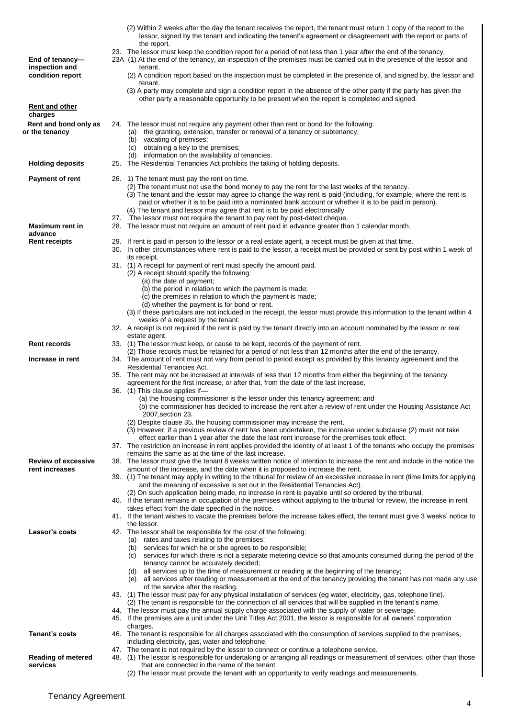|                                         | (2) Within 2 weeks after the day the tenant receives the report, the tenant must return 1 copy of the report to the<br>lessor, signed by the tenant and indicating the tenant's agreement or disagreement with the report or parts of<br>the report.<br>23. The lessor must keep the condition report for a period of not less than 1 year after the end of the tenancy.                                                                                   |
|-----------------------------------------|------------------------------------------------------------------------------------------------------------------------------------------------------------------------------------------------------------------------------------------------------------------------------------------------------------------------------------------------------------------------------------------------------------------------------------------------------------|
| End of tenancy-<br>inspection and       | 23A (1) At the end of the tenancy, an inspection of the premises must be carried out in the presence of the lessor and<br>tenant.                                                                                                                                                                                                                                                                                                                          |
| condition report                        | (2) A condition report based on the inspection must be completed in the presence of, and signed by, the lessor and<br>tenant.                                                                                                                                                                                                                                                                                                                              |
|                                         | (3) A party may complete and sign a condition report in the absence of the other party if the party has given the<br>other party a reasonable opportunity to be present when the report is completed and signed.                                                                                                                                                                                                                                           |
| <b>Rent and other</b><br>charges        |                                                                                                                                                                                                                                                                                                                                                                                                                                                            |
| Rent and bond only as<br>or the tenancy | 24. The lessor must not require any payment other than rent or bond for the following:<br>(a) the granting, extension, transfer or renewal of a tenancy or subtenancy;<br>(b) vacating of premises;<br>(c) obtaining a key to the premises;                                                                                                                                                                                                                |
| <b>Holding deposits</b>                 | (d) information on the availability of tenancies.<br>25. The Residential Tenancies Act prohibits the taking of holding deposits.                                                                                                                                                                                                                                                                                                                           |
| Payment of rent                         | 26. 1) The tenant must pay the rent on time.<br>(2) The tenant must not use the bond money to pay the rent for the last weeks of the tenancy.<br>(3) The tenant and the lessor may agree to change the way rent is paid (including, for example, where the rent is<br>paid or whether it is to be paid into a nominated bank account or whether it is to be paid in person).<br>(4) The tenant and lessor may agree that rent is to be paid electronically |
|                                         | 27. The lessor must not require the tenant to pay rent by post-dated cheque.                                                                                                                                                                                                                                                                                                                                                                               |
| <b>Maximum rent in</b><br>advance       | 28. The lessor must not require an amount of rent paid in advance greater than 1 calendar month.                                                                                                                                                                                                                                                                                                                                                           |
| <b>Rent receipts</b>                    | 29. If rent is paid in person to the lessor or a real estate agent, a receipt must be given at that time.<br>30. In other circumstances where rent is paid to the lessor, a receipt must be provided or sent by post within 1 week of                                                                                                                                                                                                                      |
|                                         | its receipt.<br>31. (1) A receipt for payment of rent must specify the amount paid.<br>(2) A receipt should specify the following:<br>(a) the date of payment;                                                                                                                                                                                                                                                                                             |
|                                         | (b) the period in relation to which the payment is made;                                                                                                                                                                                                                                                                                                                                                                                                   |
|                                         | (c) the premises in relation to which the payment is made;<br>(d) whether the payment is for bond or rent.                                                                                                                                                                                                                                                                                                                                                 |
|                                         | (3) If these particulars are not included in the receipt, the lessor must provide this information to the tenant within 4<br>weeks of a request by the tenant.                                                                                                                                                                                                                                                                                             |
|                                         | 32. A receipt is not required if the rent is paid by the tenant directly into an account nominated by the lessor or real                                                                                                                                                                                                                                                                                                                                   |
| <b>Rent records</b>                     | estate agent.<br>33. (1) The lessor must keep, or cause to be kept, records of the payment of rent.                                                                                                                                                                                                                                                                                                                                                        |
| Increase in rent                        | (2) Those records must be retained for a period of not less than 12 months after the end of the tenancy.<br>34. The amount of rent must not vary from period to period except as provided by this tenancy agreement and the                                                                                                                                                                                                                                |
|                                         | Residential Tenancies Act.                                                                                                                                                                                                                                                                                                                                                                                                                                 |
|                                         | 35. The rent may not be increased at intervals of less than 12 months from either the beginning of the tenancy<br>agreement for the first increase, or after that, from the date of the last increase.<br>36. (1) This clause applies if-                                                                                                                                                                                                                  |
|                                         | (a) the housing commissioner is the lessor under this tenancy agreement; and<br>(b) the commissioner has decided to increase the rent after a review of rent under the Housing Assistance Act<br>2007, section 23.                                                                                                                                                                                                                                         |
|                                         | (2) Despite clause 35, the housing commissioner may increase the rent.                                                                                                                                                                                                                                                                                                                                                                                     |
|                                         | (3) However, if a previous review of rent has been undertaken, the increase under subclause (2) must not take<br>effect earlier than 1 year after the date the last rent increase for the premises took effect.                                                                                                                                                                                                                                            |
|                                         | 37. The restriction on increase in rent applies provided the identity of at least 1 of the tenants who occupy the premises<br>remains the same as at the time of the last increase.                                                                                                                                                                                                                                                                        |
| <b>Review of excessive</b>              | 38. The lessor must give the tenant 8 weeks written notice of intention to increase the rent and include in the notice the                                                                                                                                                                                                                                                                                                                                 |
| rent increases                          | amount of the increase, and the date when it is proposed to increase the rent.<br>39. (1) The tenant may apply in writing to the tribunal for review of an excessive increase in rent (time limits for applying<br>and the meaning of excessive is set out in the Residential Tenancies Act).                                                                                                                                                              |
|                                         | (2) On such application being made, no increase in rent is payable until so ordered by the tribunal.<br>40. If the tenant remains in occupation of the premises without applying to the tribunal for review, the increase in rent                                                                                                                                                                                                                          |
|                                         | takes effect from the date specified in the notice.<br>41. If the tenant wishes to vacate the premises before the increase takes effect, the tenant must give 3 weeks' notice to                                                                                                                                                                                                                                                                           |
| Lessor's costs                          | the lessor.<br>42. The lessor shall be responsible for the cost of the following:                                                                                                                                                                                                                                                                                                                                                                          |
|                                         | (a) rates and taxes relating to the premises;<br>(b) services for which he or she agrees to be responsible;<br>(c) services for which there is not a separate metering device so that amounts consumed during the period of the                                                                                                                                                                                                                            |
|                                         | tenancy cannot be accurately decided;<br>(d) all services up to the time of measurement or reading at the beginning of the tenancy;<br>(e) all services after reading or measurement at the end of the tenancy providing the tenant has not made any use<br>of the service after the reading.                                                                                                                                                              |
|                                         | 43. (1) The lessor must pay for any physical installation of services (eg water, electricity, gas, telephone line).<br>(2) The tenant is responsible for the connection of all services that will be supplied in the tenant's name.                                                                                                                                                                                                                        |
|                                         | 44. The lessor must pay the annual supply charge associated with the supply of water or sewerage.<br>45. If the premises are a unit under the Unit Titles Act 2001, the lessor is responsible for all owners' corporation                                                                                                                                                                                                                                  |
|                                         | charges.                                                                                                                                                                                                                                                                                                                                                                                                                                                   |
| <b>Tenant's costs</b>                   | 46. The tenant is responsible for all charges associated with the consumption of services supplied to the premises,<br>including electricity, gas, water and telephone.<br>47. The tenant is not required by the lessor to connect or continue a telephone service.                                                                                                                                                                                        |
| <b>Reading of metered</b><br>services   | 48. (1) The lessor is responsible for undertaking or arranging all readings or measurement of services, other than those<br>that are connected in the name of the tenant.                                                                                                                                                                                                                                                                                  |
|                                         | (2) The lessor must provide the tenant with an opportunity to verify readings and measurements.                                                                                                                                                                                                                                                                                                                                                            |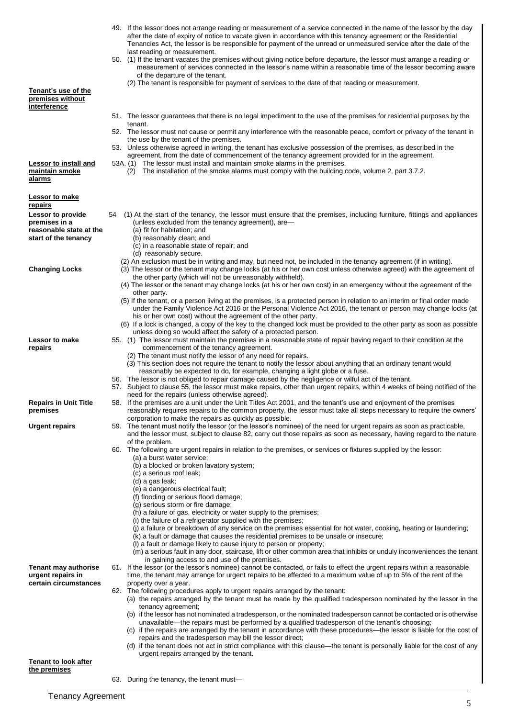|                                                                                              | 49. If the lessor does not arrange reading or measurement of a service connected in the name of the lessor by the day<br>after the date of expiry of notice to vacate given in accordance with this tenancy agreement or the Residential<br>Tenancies Act, the lessor is be responsible for payment of the unread or unmeasured service after the date of the<br>last reading or measurement. |
|----------------------------------------------------------------------------------------------|-----------------------------------------------------------------------------------------------------------------------------------------------------------------------------------------------------------------------------------------------------------------------------------------------------------------------------------------------------------------------------------------------|
|                                                                                              | 50. (1) If the tenant vacates the premises without giving notice before departure, the lessor must arrange a reading or<br>measurement of services connected in the lessor's name within a reasonable time of the lessor becoming aware<br>of the departure of the tenant.<br>(2) The tenant is responsible for payment of services to the date of that reading or measurement.               |
| Tenant's use of the<br><u>premises without</u><br>interference                               |                                                                                                                                                                                                                                                                                                                                                                                               |
|                                                                                              | 51. The lessor guarantees that there is no legal impediment to the use of the premises for residential purposes by the                                                                                                                                                                                                                                                                        |
|                                                                                              | tenant.<br>52. The lessor must not cause or permit any interference with the reasonable peace, comfort or privacy of the tenant in<br>the use by the tenant of the premises.<br>53. Unless otherwise agreed in writing, the tenant has exclusive possession of the premises, as described in the                                                                                              |
| <b>Lessor to install and</b><br>maintain smoke                                               | agreement, from the date of commencement of the tenancy agreement provided for in the agreement.<br>53A. (1) The lessor must install and maintain smoke alarms in the premises.<br>The installation of the smoke alarms must comply with the building code, volume 2, part 3.7.2.<br>(2)                                                                                                      |
| alarms                                                                                       |                                                                                                                                                                                                                                                                                                                                                                                               |
| <u>Lessor to make</u><br><u>repairs</u>                                                      |                                                                                                                                                                                                                                                                                                                                                                                               |
| <b>Lessor to provide</b><br>premises in a<br>reasonable state at the<br>start of the tenancy | (1) At the start of the tenancy, the lessor must ensure that the premises, including furniture, fittings and appliances<br>54<br>(unless excluded from the tenancy agreement), are-<br>(a) fit for habitation; and<br>(b) reasonably clean; and                                                                                                                                               |
|                                                                                              | (c) in a reasonable state of repair; and<br>(d) reasonably secure.                                                                                                                                                                                                                                                                                                                            |
| Changing Locks                                                                               | (2) An exclusion must be in writing and may, but need not, be included in the tenancy agreement (if in writing).<br>(3) The lessor or the tenant may change locks (at his or her own cost unless otherwise agreed) with the agreement of<br>the other party (which will not be unreasonably withheld).                                                                                        |
|                                                                                              | (4) The lessor or the tenant may change locks (at his or her own cost) in an emergency without the agreement of the<br>other party.                                                                                                                                                                                                                                                           |
|                                                                                              | (5) If the tenant, or a person living at the premises, is a protected person in relation to an interim or final order made<br>under the Family Violence Act 2016 or the Personal Violence Act 2016, the tenant or person may change locks (at<br>his or her own cost) without the agreement of the other party.                                                                               |
|                                                                                              | (6) If a lock is changed, a copy of the key to the changed lock must be provided to the other party as soon as possible<br>unless doing so would affect the safety of a protected person.                                                                                                                                                                                                     |
| Lessor to make                                                                               | 55. (1) The lessor must maintain the premises in a reasonable state of repair having regard to their condition at the                                                                                                                                                                                                                                                                         |
| repairs                                                                                      | commencement of the tenancy agreement.<br>(2) The tenant must notify the lessor of any need for repairs.                                                                                                                                                                                                                                                                                      |
|                                                                                              | (3) This section does not require the tenant to notify the lessor about anything that an ordinary tenant would                                                                                                                                                                                                                                                                                |
|                                                                                              | reasonably be expected to do, for example, changing a light globe or a fuse.<br>56. The lessor is not obliged to repair damage caused by the negligence or wilful act of the tenant.                                                                                                                                                                                                          |
|                                                                                              | 57. Subject to clause 55, the lessor must make repairs, other than urgent repairs, within 4 weeks of being notified of the<br>need for the repairs (unless otherwise agreed).                                                                                                                                                                                                                 |
| Repairs in Unit Title<br>premises                                                            | 58. If the premises are a unit under the Unit Titles Act 2001, and the tenant's use and enjoyment of the premises<br>reasonably requires repairs to the common property, the lessor must take all steps necessary to require the owners'                                                                                                                                                      |
| Urgent repairs                                                                               | corporation to make the repairs as quickly as possible.<br>59. The tenant must notify the lessor (or the lessor's nominee) of the need for urgent repairs as soon as practicable,                                                                                                                                                                                                             |
|                                                                                              | and the lessor must, subject to clause 82, carry out those repairs as soon as necessary, having regard to the nature<br>of the problem.<br>60. The following are urgent repairs in relation to the premises, or services or fixtures supplied by the lessor:                                                                                                                                  |
|                                                                                              | (a) a burst water service;                                                                                                                                                                                                                                                                                                                                                                    |
|                                                                                              | (b) a blocked or broken lavatory system;<br>(c) a serious roof leak;                                                                                                                                                                                                                                                                                                                          |
|                                                                                              | (d) a gas leak;                                                                                                                                                                                                                                                                                                                                                                               |
|                                                                                              | (e) a dangerous electrical fault;<br>(f) flooding or serious flood damage;                                                                                                                                                                                                                                                                                                                    |
|                                                                                              | (g) serious storm or fire damage;<br>(h) a failure of gas, electricity or water supply to the premises;                                                                                                                                                                                                                                                                                       |
|                                                                                              | (i) the failure of a refrigerator supplied with the premises;                                                                                                                                                                                                                                                                                                                                 |
|                                                                                              | (j) a failure or breakdown of any service on the premises essential for hot water, cooking, heating or laundering;<br>(k) a fault or damage that causes the residential premises to be unsafe or insecure;                                                                                                                                                                                    |
|                                                                                              | (I) a fault or damage likely to cause injury to person or property;<br>(m) a serious fault in any door, staircase, lift or other common area that inhibits or unduly inconveniences the tenant<br>in gaining access to and use of the premises.                                                                                                                                               |
| Tenant may authorise<br>urgent repairs in                                                    | 61. If the lessor (or the lessor's nominee) cannot be contacted, or fails to effect the urgent repairs within a reasonable<br>time, the tenant may arrange for urgent repairs to be effected to a maximum value of up to 5% of the rent of the                                                                                                                                                |
| certain circumstances                                                                        | property over a year.<br>62. The following procedures apply to urgent repairs arranged by the tenant:                                                                                                                                                                                                                                                                                         |
|                                                                                              | (a) the repairs arranged by the tenant must be made by the qualified tradesperson nominated by the lessor in the<br>tenancy agreement;                                                                                                                                                                                                                                                        |
|                                                                                              | (b) if the lessor has not nominated a tradesperson, or the nominated tradesperson cannot be contacted or is otherwise                                                                                                                                                                                                                                                                         |
|                                                                                              | unavailable—the repairs must be performed by a qualified tradesperson of the tenant's choosing;<br>(c) if the repairs are arranged by the tenant in accordance with these procedures—the lessor is liable for the cost of                                                                                                                                                                     |
|                                                                                              | repairs and the tradesperson may bill the lessor direct;                                                                                                                                                                                                                                                                                                                                      |
| Tenant to look after<br><u>the premises</u>                                                  | (d) if the tenant does not act in strict compliance with this clause—the tenant is personally liable for the cost of any<br>urgent repairs arranged by the tenant.                                                                                                                                                                                                                            |
|                                                                                              | 63. During the tenancy, the tenant must-                                                                                                                                                                                                                                                                                                                                                      |
|                                                                                              |                                                                                                                                                                                                                                                                                                                                                                                               |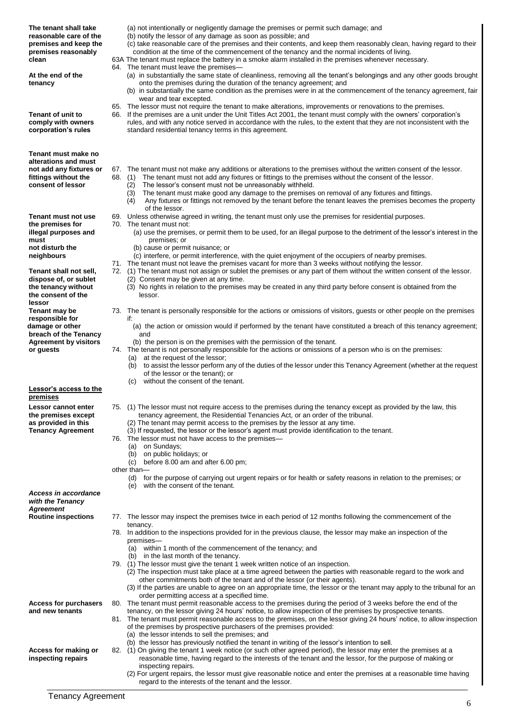| The tenant shall take<br>reasonable care of the<br>premises and keep the<br>premises reasonably<br>clean<br>At the end of the<br>tenancy<br><b>Tenant of unit to</b><br>comply with owners<br>corporation's rules | (a) not intentionally or negligently damage the premises or permit such damage; and<br>(b) notify the lessor of any damage as soon as possible; and<br>(c) take reasonable care of the premises and their contents, and keep them reasonably clean, having regard to their<br>condition at the time of the commencement of the tenancy and the normal incidents of living.<br>63A The tenant must replace the battery in a smoke alarm installed in the premises whenever necessary.<br>64. The tenant must leave the premises-<br>(a) in substantially the same state of cleanliness, removing all the tenant's belongings and any other goods brought<br>onto the premises during the duration of the tenancy agreement; and<br>(b) in substantially the same condition as the premises were in at the commencement of the tenancy agreement, fair<br>wear and tear excepted.<br>65. The lessor must not require the tenant to make alterations, improvements or renovations to the premises.<br>66. If the premises are a unit under the Unit Titles Act 2001, the tenant must comply with the owners' corporation's<br>rules, and with any notice served in accordance with the rules, to the extent that they are not inconsistent with the<br>standard residential tenancy terms in this agreement. |
|-------------------------------------------------------------------------------------------------------------------------------------------------------------------------------------------------------------------|-----------------------------------------------------------------------------------------------------------------------------------------------------------------------------------------------------------------------------------------------------------------------------------------------------------------------------------------------------------------------------------------------------------------------------------------------------------------------------------------------------------------------------------------------------------------------------------------------------------------------------------------------------------------------------------------------------------------------------------------------------------------------------------------------------------------------------------------------------------------------------------------------------------------------------------------------------------------------------------------------------------------------------------------------------------------------------------------------------------------------------------------------------------------------------------------------------------------------------------------------------------------------------------------------------------|
| Tenant must make no<br>alterations and must<br>not add any fixtures or<br>fittings without the<br>consent of lessor                                                                                               | 67. The tenant must not make any additions or alterations to the premises without the written consent of the lessor.<br>68.<br>The tenant must not add any fixtures or fittings to the premises without the consent of the lessor.<br>(1)<br>The lessor's consent must not be unreasonably withheld.<br>(2)<br>The tenant must make good any damage to the premises on removal of any fixtures and fittings.<br>(3)<br>Any fixtures or fittings not removed by the tenant before the tenant leaves the premises becomes the property<br>(4)                                                                                                                                                                                                                                                                                                                                                                                                                                                                                                                                                                                                                                                                                                                                                               |
| Tenant must not use<br>the premises for<br>illegal purposes and<br>must                                                                                                                                           | of the lessor.<br>69. Unless otherwise agreed in writing, the tenant must only use the premises for residential purposes.<br>70. The tenant must not:<br>(a) use the premises, or permit them to be used, for an illegal purpose to the detriment of the lessor's interest in the<br>premises; or                                                                                                                                                                                                                                                                                                                                                                                                                                                                                                                                                                                                                                                                                                                                                                                                                                                                                                                                                                                                         |
| not disturb the<br>neighbours<br>Tenant shall not sell,<br>dispose of, or sublet<br>the tenancy without<br>the consent of the                                                                                     | (b) cause or permit nuisance; or<br>(c) interfere, or permit interference, with the quiet enjoyment of the occupiers of nearby premises.<br>71. The tenant must not leave the premises vacant for more than 3 weeks without notifying the lessor.<br>72. (1) The tenant must not assign or sublet the premises or any part of them without the written consent of the lessor.<br>(2) Consent may be given at any time.<br>(3) No rights in relation to the premises may be created in any third party before consent is obtained from the<br>lessor.                                                                                                                                                                                                                                                                                                                                                                                                                                                                                                                                                                                                                                                                                                                                                      |
| lessor<br>Tenant may be<br>responsible for<br>damage or other<br>breach of the Tenancy<br><b>Agreement by visitors</b><br>or guests                                                                               | 73. The tenant is personally responsible for the actions or omissions of visitors, guests or other people on the premises<br>if:<br>(a) the action or omission would if performed by the tenant have constituted a breach of this tenancy agreement;<br>and<br>(b) the person is on the premises with the permission of the tenant.<br>74. The tenant is not personally responsible for the actions or omissions of a person who is on the premises:<br>(a) at the request of the lessor;<br>(b) to assist the lessor perform any of the duties of the lessor under this Tenancy Agreement (whether at the request<br>of the lessor or the tenant); or                                                                                                                                                                                                                                                                                                                                                                                                                                                                                                                                                                                                                                                    |
| Lessor's access to the<br>premises                                                                                                                                                                                | without the consent of the tenant.<br>(C)                                                                                                                                                                                                                                                                                                                                                                                                                                                                                                                                                                                                                                                                                                                                                                                                                                                                                                                                                                                                                                                                                                                                                                                                                                                                 |
| Lessor cannot enter<br>the premises except<br>as provided in this<br><b>Tenancy Agreement</b>                                                                                                                     | 75. (1) The lessor must not require access to the premises during the tenancy except as provided by the law, this<br>tenancy agreement, the Residential Tenancies Act, or an order of the tribunal.<br>(2) The tenant may permit access to the premises by the lessor at any time.<br>(3) If requested, the lessor or the lessor's agent must provide identification to the tenant.<br>76. The lessor must not have access to the premises—<br>(a) on Sundays;<br>(b) on public holidays; or<br>(c) before $8.00$ am and after $6.00$ pm;<br>other than-<br>(d) for the purpose of carrying out urgent repairs or for health or safety reasons in relation to the premises; or<br>with the consent of the tenant.<br>(e)                                                                                                                                                                                                                                                                                                                                                                                                                                                                                                                                                                                  |
| Access in accordance<br>with the Tenancy<br><b>Agreement</b>                                                                                                                                                      |                                                                                                                                                                                                                                                                                                                                                                                                                                                                                                                                                                                                                                                                                                                                                                                                                                                                                                                                                                                                                                                                                                                                                                                                                                                                                                           |
| <b>Routine inspections</b>                                                                                                                                                                                        | 77. The lessor may inspect the premises twice in each period of 12 months following the commencement of the<br>tenancy.<br>78. In addition to the inspections provided for in the previous clause, the lessor may make an inspection of the<br>premises-<br>(a) within 1 month of the commencement of the tenancy; and<br>(b) in the last month of the tenancy.                                                                                                                                                                                                                                                                                                                                                                                                                                                                                                                                                                                                                                                                                                                                                                                                                                                                                                                                           |
|                                                                                                                                                                                                                   | 79. (1) The lessor must give the tenant 1 week written notice of an inspection.<br>(2) The inspection must take place at a time agreed between the parties with reasonable regard to the work and<br>other commitments both of the tenant and of the lessor (or their agents).<br>(3) If the parties are unable to agree on an appropriate time, the lessor or the tenant may apply to the tribunal for an<br>order permitting access at a specified time.                                                                                                                                                                                                                                                                                                                                                                                                                                                                                                                                                                                                                                                                                                                                                                                                                                                |
| <b>Access for purchasers</b><br>and new tenants                                                                                                                                                                   | 80. The tenant must permit reasonable access to the premises during the period of 3 weeks before the end of the<br>tenancy, on the lessor giving 24 hours' notice, to allow inspection of the premises by prospective tenants.<br>81. The tenant must permit reasonable access to the premises, on the lessor giving 24 hours' notice, to allow inspection<br>of the premises by prospective purchasers of the premises provided:<br>(a) the lessor intends to sell the premises; and<br>(b) the lessor has previously notified the tenant in writing of the lessor's intention to sell.                                                                                                                                                                                                                                                                                                                                                                                                                                                                                                                                                                                                                                                                                                                  |
| Access for making or<br>inspecting repairs                                                                                                                                                                        | 82. (1) On giving the tenant 1 week notice (or such other agreed period), the lessor may enter the premises at a<br>reasonable time, having regard to the interests of the tenant and the lessor, for the purpose of making or<br>inspecting repairs.<br>(2) For urgent repairs, the lessor must give reasonable notice and enter the premises at a reasonable time having<br>regard to the interests of the tenant and the lessor.                                                                                                                                                                                                                                                                                                                                                                                                                                                                                                                                                                                                                                                                                                                                                                                                                                                                       |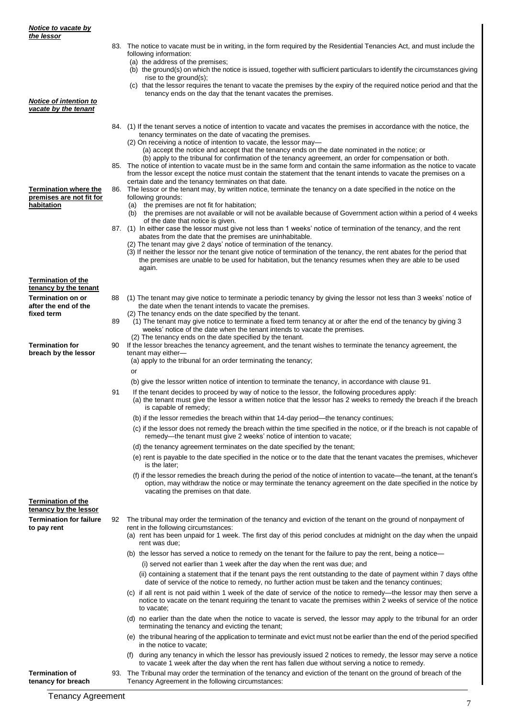|                                                    |    | 83. The notice to vacate must be in writing, in the form required by the Residential Tenancies Act, and must include the                                                                                                                  |
|----------------------------------------------------|----|-------------------------------------------------------------------------------------------------------------------------------------------------------------------------------------------------------------------------------------------|
|                                                    |    | following information:<br>(a) the address of the premises;                                                                                                                                                                                |
|                                                    |    | (b) the ground(s) on which the notice is issued, together with sufficient particulars to identify the circumstances giving                                                                                                                |
|                                                    |    | rise to the ground(s);                                                                                                                                                                                                                    |
|                                                    |    | (c) that the lessor requires the tenant to vacate the premises by the expiry of the required notice period and that the<br>tenancy ends on the day that the tenant vacates the premises.                                                  |
| Notice of intention to<br>vacate by the tenant     |    |                                                                                                                                                                                                                                           |
|                                                    |    |                                                                                                                                                                                                                                           |
|                                                    |    | 84. (1) If the tenant serves a notice of intention to vacate and vacates the premises in accordance with the notice, the<br>tenancy terminates on the date of vacating the premises.                                                      |
|                                                    |    | $(2)$ On receiving a notice of intention to vacate, the lessor may-                                                                                                                                                                       |
|                                                    |    | (a) accept the notice and accept that the tenancy ends on the date nominated in the notice; or                                                                                                                                            |
|                                                    |    | (b) apply to the tribunal for confirmation of the tenancy agreement, an order for compensation or both.<br>85. The notice of intention to vacate must be in the same form and contain the same information as the notice to vacate        |
|                                                    |    | from the lessor except the notice must contain the statement that the tenant intends to vacate the premises on a                                                                                                                          |
| <b>Termination where the</b>                       |    | certain date and the tenancy terminates on that date.<br>86. The lessor or the tenant may, by written notice, terminate the tenancy on a date specified in the notice on the                                                              |
| premises are not fit for                           |    | following grounds:                                                                                                                                                                                                                        |
| habitation                                         |    | (a) the premises are not fit for habitation;                                                                                                                                                                                              |
|                                                    |    | (b) the premises are not available or will not be available because of Government action within a period of 4 weeks<br>of the date that notice is given.                                                                                  |
|                                                    |    | 87. (1) In either case the lessor must give not less than 1 weeks' notice of termination of the tenancy, and the rent                                                                                                                     |
|                                                    |    | abates from the date that the premises are uninhabitable.                                                                                                                                                                                 |
|                                                    |    | (2) The tenant may give 2 days' notice of termination of the tenancy.<br>(3) If neither the lessor nor the tenant give notice of termination of the tenancy, the rent abates for the period that                                          |
|                                                    |    | the premises are unable to be used for habitation, but the tenancy resumes when they are able to be used                                                                                                                                  |
|                                                    |    | again.                                                                                                                                                                                                                                    |
| <b>Termination of the</b><br>tenancy by the tenant |    |                                                                                                                                                                                                                                           |
| <b>Termination on or</b>                           | 88 | (1) The tenant may give notice to terminate a periodic tenancy by giving the lessor not less than 3 weeks' notice of                                                                                                                      |
| after the end of the                               |    | the date when the tenant intends to vacate the premises.                                                                                                                                                                                  |
| fixed term                                         |    | (2) The tenancy ends on the date specified by the tenant.                                                                                                                                                                                 |
|                                                    | 89 | (1) The tenant may give notice to terminate a fixed term tenancy at or after the end of the tenancy by giving 3<br>weeks' notice of the date when the tenant intends to vacate the premises.                                              |
|                                                    |    | (2) The tenancy ends on the date specified by the tenant.                                                                                                                                                                                 |
| <b>Termination for</b><br>breach by the lessor     | 90 | If the lessor breaches the tenancy agreement, and the tenant wishes to terminate the tenancy agreement, the<br>tenant may either-                                                                                                         |
|                                                    |    | (a) apply to the tribunal for an order terminating the tenancy;                                                                                                                                                                           |
|                                                    |    | or                                                                                                                                                                                                                                        |
|                                                    |    | (b) give the lessor written notice of intention to terminate the tenancy, in accordance with clause 91.                                                                                                                                   |
|                                                    | 91 | If the tenant decides to proceed by way of notice to the lessor, the following procedures apply:                                                                                                                                          |
|                                                    |    | (a) the tenant must give the lessor a written notice that the lessor has 2 weeks to remedy the breach if the breach                                                                                                                       |
|                                                    |    | is capable of remedy;<br>(b) if the lessor remedies the breach within that 14-day period—the tenancy continues;                                                                                                                           |
|                                                    |    | (c) if the lessor does not remedy the breach within the time specified in the notice, or if the breach is not capable of                                                                                                                  |
|                                                    |    | remedy—the tenant must give 2 weeks' notice of intention to vacate;                                                                                                                                                                       |
|                                                    |    | (d) the tenancy agreement terminates on the date specified by the tenant;                                                                                                                                                                 |
|                                                    |    | (e) rent is payable to the date specified in the notice or to the date that the tenant vacates the premises, whichever                                                                                                                    |
|                                                    |    | is the later;                                                                                                                                                                                                                             |
|                                                    |    | (f) if the lessor remedies the breach during the period of the notice of intention to vacate—the tenant, at the tenant's<br>option, may withdraw the notice or may terminate the tenancy agreement on the date specified in the notice by |
|                                                    |    | vacating the premises on that date.                                                                                                                                                                                                       |
| <b>Termination of the</b>                          |    |                                                                                                                                                                                                                                           |
| tenancy by the lessor                              |    |                                                                                                                                                                                                                                           |
| <b>Termination for failure</b><br>to pay rent      | 92 | The tribunal may order the termination of the tenancy and eviction of the tenant on the ground of nonpayment of<br>rent in the following circumstances:                                                                                   |
|                                                    |    | (a) rent has been unpaid for 1 week. The first day of this period concludes at midnight on the day when the unpaid                                                                                                                        |
|                                                    |    | rent was due;                                                                                                                                                                                                                             |
|                                                    |    | (b) the lessor has served a notice to remedy on the tenant for the failure to pay the rent, being a notice—                                                                                                                               |
|                                                    |    | (i) served not earlier than 1 week after the day when the rent was due; and                                                                                                                                                               |
|                                                    |    | (ii) containing a statement that if the tenant pays the rent outstanding to the date of payment within 7 days ofthe<br>date of service of the notice to remedy, no further action must be taken and the tenancy continues;                |
|                                                    |    | (c) if all rent is not paid within 1 week of the date of service of the notice to remedy—the lessor may then serve a                                                                                                                      |
|                                                    |    | notice to vacate on the tenant requiring the tenant to vacate the premises within 2 weeks of service of the notice                                                                                                                        |
|                                                    |    | to vacate;                                                                                                                                                                                                                                |
|                                                    |    | (d) no earlier than the date when the notice to vacate is served, the lessor may apply to the tribunal for an order<br>terminating the tenancy and evicting the tenant;                                                                   |
|                                                    |    | (e) the tribunal hearing of the application to terminate and evict must not be earlier than the end of the period specified                                                                                                               |
|                                                    |    | in the notice to vacate;                                                                                                                                                                                                                  |
|                                                    |    | (f) during any tenancy in which the lessor has previously issued 2 notices to remedy, the lessor may serve a notice                                                                                                                       |
| <b>Termination of</b>                              |    | to vacate 1 week after the day when the rent has fallen due without serving a notice to remedy.<br>93. The Tribunal may order the termination of the tenancy and eviction of the tenant on the ground of breach of the                    |
|                                                    |    |                                                                                                                                                                                                                                           |

Tenancy Agreement in the following circumstances:

**Termination of tenancy for breach**